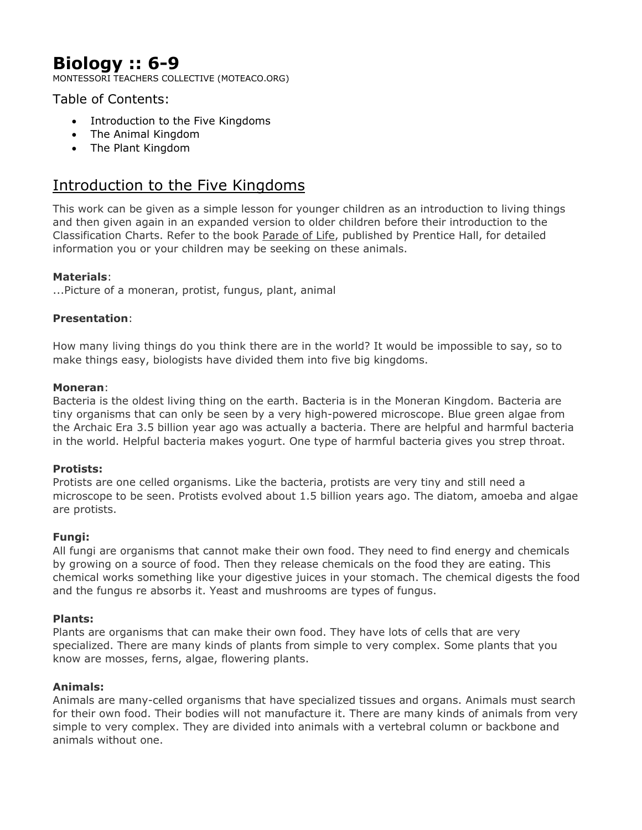# **Biology :: 6-9**

MONTESSORI TEACHERS COLLECTIVE (MOTEACO.ORG)

# Table of Contents:

- Introduction to the Five Kingdoms
- The Animal Kingdom
- The Plant Kingdom

# Introduction to the Five Kingdoms

This work can be given as a simple lesson for younger children as an introduction to living things and then given again in an expanded version to older children before their introduction to the Classification Charts. Refer to the book Parade of Life, published by Prentice Hall, for detailed information you or your children may be seeking on these animals.

### **Materials**:

...Picture of a moneran, protist, fungus, plant, animal

### **Presentation**:

How many living things do you think there are in the world? It would be impossible to say, so to make things easy, biologists have divided them into five big kingdoms.

#### **Moneran**:

Bacteria is the oldest living thing on the earth. Bacteria is in the Moneran Kingdom. Bacteria are tiny organisms that can only be seen by a very high-powered microscope. Blue green algae from the Archaic Era 3.5 billion year ago was actually a bacteria. There are helpful and harmful bacteria in the world. Helpful bacteria makes yogurt. One type of harmful bacteria gives you strep throat.

#### **Protists:**

Protists are one celled organisms. Like the bacteria, protists are very tiny and still need a microscope to be seen. Protists evolved about 1.5 billion years ago. The diatom, amoeba and algae are protists.

#### **Fungi:**

All fungi are organisms that cannot make their own food. They need to find energy and chemicals by growing on a source of food. Then they release chemicals on the food they are eating. This chemical works something like your digestive juices in your stomach. The chemical digests the food and the fungus re absorbs it. Yeast and mushrooms are types of fungus.

# **Plants:**

Plants are organisms that can make their own food. They have lots of cells that are very specialized. There are many kinds of plants from simple to very complex. Some plants that you know are mosses, ferns, algae, flowering plants.

#### **Animals:**

Animals are many-celled organisms that have specialized tissues and organs. Animals must search for their own food. Their bodies will not manufacture it. There are many kinds of animals from very simple to very complex. They are divided into animals with a vertebral column or backbone and animals without one.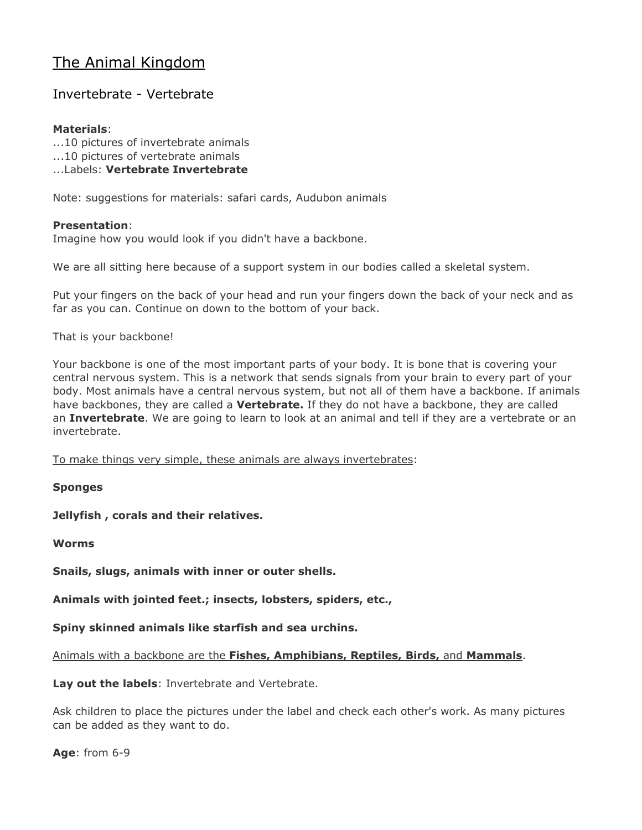# The Animal Kingdom

# Invertebrate - Vertebrate

# **Materials**:

...10 pictures of invertebrate animals

...10 pictures of vertebrate animals

...Labels: **Vertebrate Invertebrate**

Note: suggestions for materials: safari cards, Audubon animals

### **Presentation**:

Imagine how you would look if you didn't have a backbone.

We are all sitting here because of a support system in our bodies called a skeletal system.

Put your fingers on the back of your head and run your fingers down the back of your neck and as far as you can. Continue on down to the bottom of your back.

That is your backbone!

Your backbone is one of the most important parts of your body. It is bone that is covering your central nervous system. This is a network that sends signals from your brain to every part of your body. Most animals have a central nervous system, but not all of them have a backbone. If animals have backbones, they are called a **Vertebrate.** If they do not have a backbone, they are called an **Invertebrate**. We are going to learn to look at an animal and tell if they are a vertebrate or an invertebrate.

To make things very simple, these animals are always invertebrates:

**Sponges**

**Jellyfish , corals and their relatives.**

**Worms**

**Snails, slugs, animals with inner or outer shells.**

**Animals with jointed feet.; insects, lobsters, spiders, etc.,**

**Spiny skinned animals like starfish and sea urchins.**

Animals with a backbone are the **Fishes, Amphibians, Reptiles, Birds,** and **Mammals**.

**Lay out the labels**: Invertebrate and Vertebrate.

Ask children to place the pictures under the label and check each other's work. As many pictures can be added as they want to do.

**Age**: from 6-9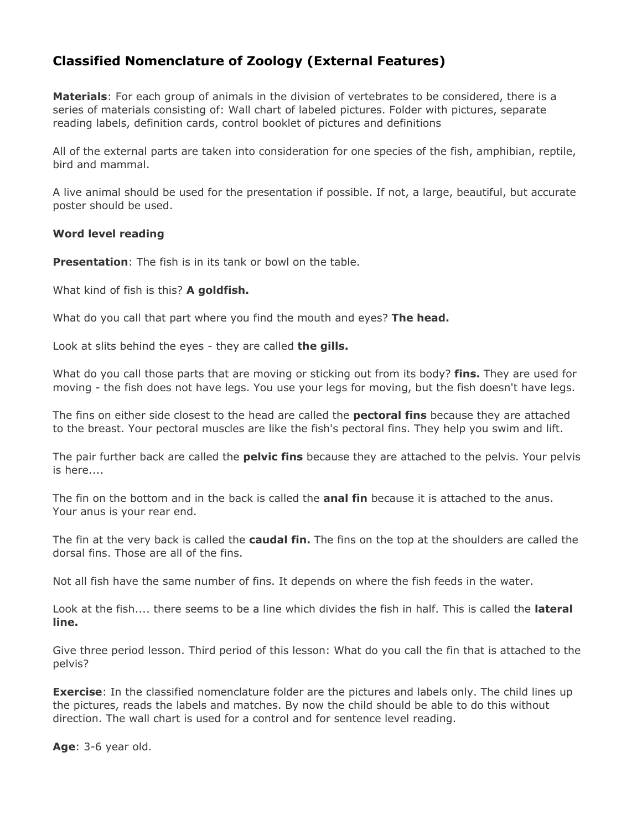# **Classified Nomenclature of Zoology (External Features)**

**Materials**: For each group of animals in the division of vertebrates to be considered, there is a series of materials consisting of: Wall chart of labeled pictures. Folder with pictures, separate reading labels, definition cards, control booklet of pictures and definitions

All of the external parts are taken into consideration for one species of the fish, amphibian, reptile, bird and mammal.

A live animal should be used for the presentation if possible. If not, a large, beautiful, but accurate poster should be used.

#### **Word level reading**

**Presentation**: The fish is in its tank or bowl on the table.

What kind of fish is this? **A goldfish.**

What do you call that part where you find the mouth and eyes? **The head.**

Look at slits behind the eyes - they are called **the gills.**

What do you call those parts that are moving or sticking out from its body? **fins.** They are used for moving - the fish does not have legs. You use your legs for moving, but the fish doesn't have legs.

The fins on either side closest to the head are called the **pectoral fins** because they are attached to the breast. Your pectoral muscles are like the fish's pectoral fins. They help you swim and lift.

The pair further back are called the **pelvic fins** because they are attached to the pelvis. Your pelvis is here....

The fin on the bottom and in the back is called the **anal fin** because it is attached to the anus. Your anus is your rear end.

The fin at the very back is called the **caudal fin.** The fins on the top at the shoulders are called the dorsal fins. Those are all of the fins.

Not all fish have the same number of fins. It depends on where the fish feeds in the water.

Look at the fish.... there seems to be a line which divides the fish in half. This is called the **lateral line.**

Give three period lesson. Third period of this lesson: What do you call the fin that is attached to the pelvis?

**Exercise**: In the classified nomenclature folder are the pictures and labels only. The child lines up the pictures, reads the labels and matches. By now the child should be able to do this without direction. The wall chart is used for a control and for sentence level reading.

**Age**: 3-6 year old.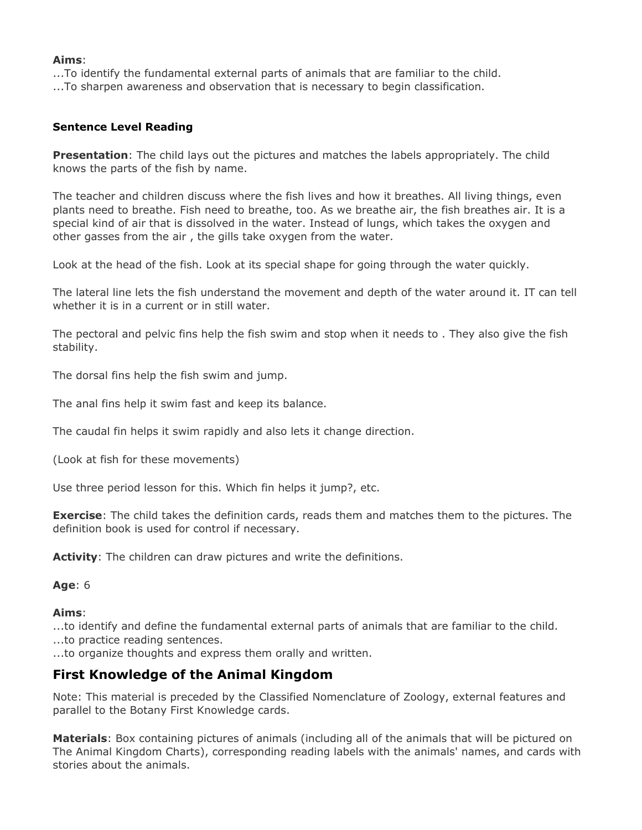#### **Aims**:

...To identify the fundamental external parts of animals that are familiar to the child. ...To sharpen awareness and observation that is necessary to begin classification.

#### **Sentence Level Reading**

**Presentation**: The child lays out the pictures and matches the labels appropriately. The child knows the parts of the fish by name.

The teacher and children discuss where the fish lives and how it breathes. All living things, even plants need to breathe. Fish need to breathe, too. As we breathe air, the fish breathes air. It is a special kind of air that is dissolved in the water. Instead of lungs, which takes the oxygen and other gasses from the air , the gills take oxygen from the water.

Look at the head of the fish. Look at its special shape for going through the water quickly.

The lateral line lets the fish understand the movement and depth of the water around it. IT can tell whether it is in a current or in still water.

The pectoral and pelvic fins help the fish swim and stop when it needs to . They also give the fish stability.

The dorsal fins help the fish swim and jump.

The anal fins help it swim fast and keep its balance.

The caudal fin helps it swim rapidly and also lets it change direction.

(Look at fish for these movements)

Use three period lesson for this. Which fin helps it jump?, etc.

**Exercise**: The child takes the definition cards, reads them and matches them to the pictures. The definition book is used for control if necessary.

**Activity**: The children can draw pictures and write the definitions.

#### **Age**: 6

#### **Aims**:

...to identify and define the fundamental external parts of animals that are familiar to the child.

...to practice reading sentences.

...to organize thoughts and express them orally and written.

# **First Knowledge of the Animal Kingdom**

Note: This material is preceded by the Classified Nomenclature of Zoology, external features and parallel to the Botany First Knowledge cards.

**Materials**: Box containing pictures of animals (including all of the animals that will be pictured on The Animal Kingdom Charts), corresponding reading labels with the animals' names, and cards with stories about the animals.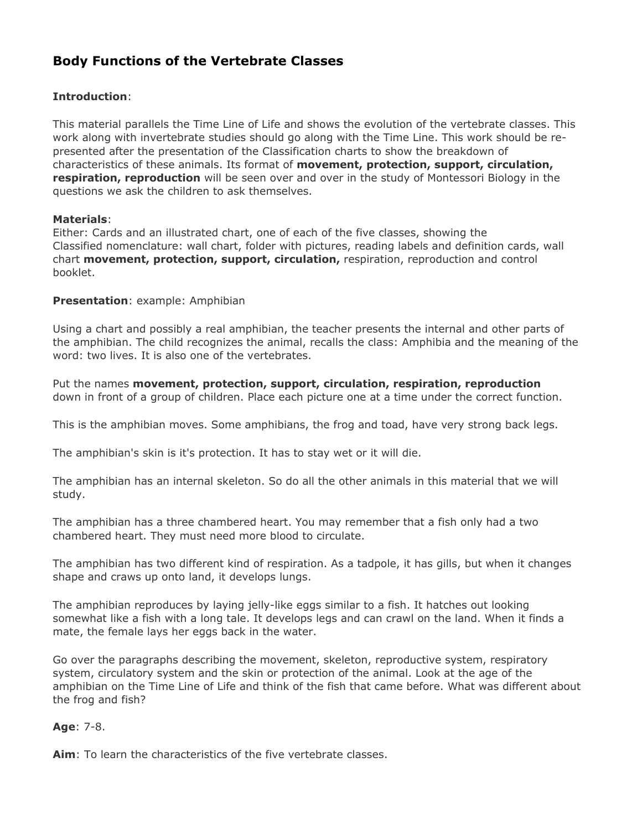# **Body Functions of the Vertebrate Classes**

# **Introduction**:

This material parallels the Time Line of Life and shows the evolution of the vertebrate classes. This work along with invertebrate studies should go along with the Time Line. This work should be represented after the presentation of the Classification charts to show the breakdown of characteristics of these animals. Its format of **movement, protection, support, circulation, respiration, reproduction** will be seen over and over in the study of Montessori Biology in the questions we ask the children to ask themselves.

#### **Materials**:

Either: Cards and an illustrated chart, one of each of the five classes, showing the Classified nomenclature: wall chart, folder with pictures, reading labels and definition cards, wall chart **movement, protection, support, circulation,** respiration, reproduction and control booklet.

### **Presentation**: example: Amphibian

Using a chart and possibly a real amphibian, the teacher presents the internal and other parts of the amphibian. The child recognizes the animal, recalls the class: Amphibia and the meaning of the word: two lives. It is also one of the vertebrates.

Put the names **movement, protection, support, circulation, respiration, reproduction** down in front of a group of children. Place each picture one at a time under the correct function.

This is the amphibian moves. Some amphibians, the frog and toad, have very strong back legs.

The amphibian's skin is it's protection. It has to stay wet or it will die.

The amphibian has an internal skeleton. So do all the other animals in this material that we will study.

The amphibian has a three chambered heart. You may remember that a fish only had a two chambered heart. They must need more blood to circulate.

The amphibian has two different kind of respiration. As a tadpole, it has gills, but when it changes shape and craws up onto land, it develops lungs.

The amphibian reproduces by laying jelly-like eggs similar to a fish. It hatches out looking somewhat like a fish with a long tale. It develops legs and can crawl on the land. When it finds a mate, the female lays her eggs back in the water.

Go over the paragraphs describing the movement, skeleton, reproductive system, respiratory system, circulatory system and the skin or protection of the animal. Look at the age of the amphibian on the Time Line of Life and think of the fish that came before. What was different about the frog and fish?

#### **Age**: 7-8.

**Aim**: To learn the characteristics of the five vertebrate classes.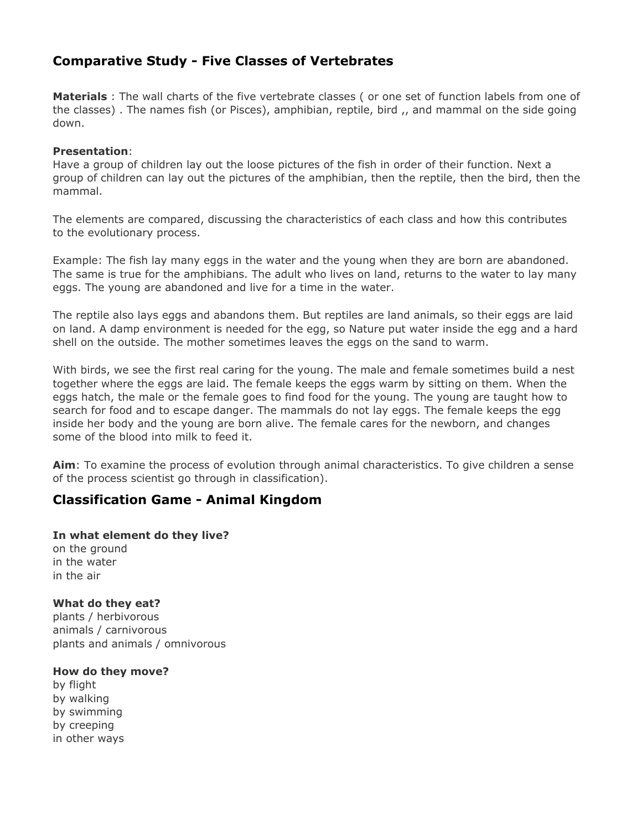# **Comparative Study - Five Classes of Vertebrates**

**Materials** : The wall charts of the five vertebrate classes ( or one set of function labels from one of the classes) . The names fish (or Pisces), amphibian, reptile, bird ,, and mammal on the side going down.

#### **Presentation**:

Have a group of children lay out the loose pictures of the fish in order of their function. Next a group of children can lay out the pictures of the amphibian, then the reptile, then the bird, then the mammal.

The elements are compared, discussing the characteristics of each class and how this contributes to the evolutionary process.

Example: The fish lay many eggs in the water and the young when they are born are abandoned. The same is true for the amphibians. The adult who lives on land, returns to the water to lay many eggs. The young are abandoned and live for a time in the water.

The reptile also lays eggs and abandons them. But reptiles are land animals, so their eggs are laid on land. A damp environment is needed for the egg, so Nature put water inside the egg and a hard shell on the outside. The mother sometimes leaves the eggs on the sand to warm.

With birds, we see the first real caring for the young. The male and female sometimes build a nest together where the eggs are laid. The female keeps the eggs warm by sitting on them. When the eggs hatch, the male or the female goes to find food for the young. The young are taught how to search for food and to escape danger. The mammals do not lay eggs. The female keeps the egg inside her body and the young are born alive. The female cares for the newborn, and changes some of the blood into milk to feed it.

**Aim**: To examine the process of evolution through animal characteristics. To give children a sense of the process scientist go through in classification).

# **Classification Game - Animal Kingdom**

**In what element do they live?** on the ground in the water in the air

**What do they eat?** plants / herbivorous animals / carnivorous plants and animals / omnivorous

**How do they move?**

by flight by walking by swimming by creeping in other ways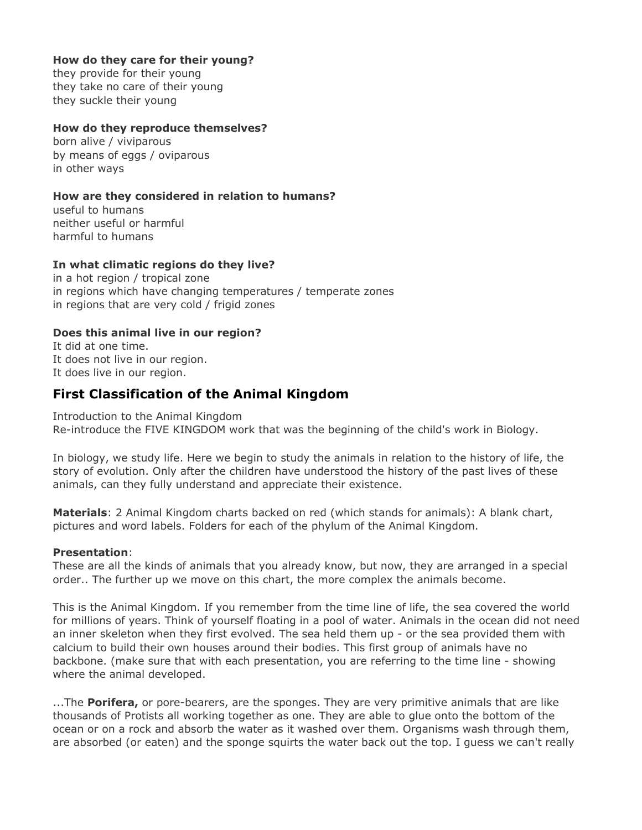### **How do they care for their young?**

they provide for their young they take no care of their young they suckle their young

#### **How do they reproduce themselves?**

born alive / viviparous by means of eggs / oviparous in other ways

### **How are they considered in relation to humans?**

useful to humans neither useful or harmful harmful to humans

### **In what climatic regions do they live?**

in a hot region / tropical zone in regions which have changing temperatures / temperate zones in regions that are very cold / frigid zones

### **Does this animal live in our region?**

It did at one time. It does not live in our region. It does live in our region.

# **First Classification of the Animal Kingdom**

Introduction to the Animal Kingdom Re-introduce the FIVE KINGDOM work that was the beginning of the child's work in Biology.

In biology, we study life. Here we begin to study the animals in relation to the history of life, the story of evolution. Only after the children have understood the history of the past lives of these animals, can they fully understand and appreciate their existence.

**Materials**: 2 Animal Kingdom charts backed on red (which stands for animals): A blank chart, pictures and word labels. Folders for each of the phylum of the Animal Kingdom.

#### **Presentation**:

These are all the kinds of animals that you already know, but now, they are arranged in a special order.. The further up we move on this chart, the more complex the animals become.

This is the Animal Kingdom. If you remember from the time line of life, the sea covered the world for millions of years. Think of yourself floating in a pool of water. Animals in the ocean did not need an inner skeleton when they first evolved. The sea held them up - or the sea provided them with calcium to build their own houses around their bodies. This first group of animals have no backbone. (make sure that with each presentation, you are referring to the time line - showing where the animal developed.

...The **Porifera,** or pore-bearers, are the sponges. They are very primitive animals that are like thousands of Protists all working together as one. They are able to glue onto the bottom of the ocean or on a rock and absorb the water as it washed over them. Organisms wash through them, are absorbed (or eaten) and the sponge squirts the water back out the top. I guess we can't really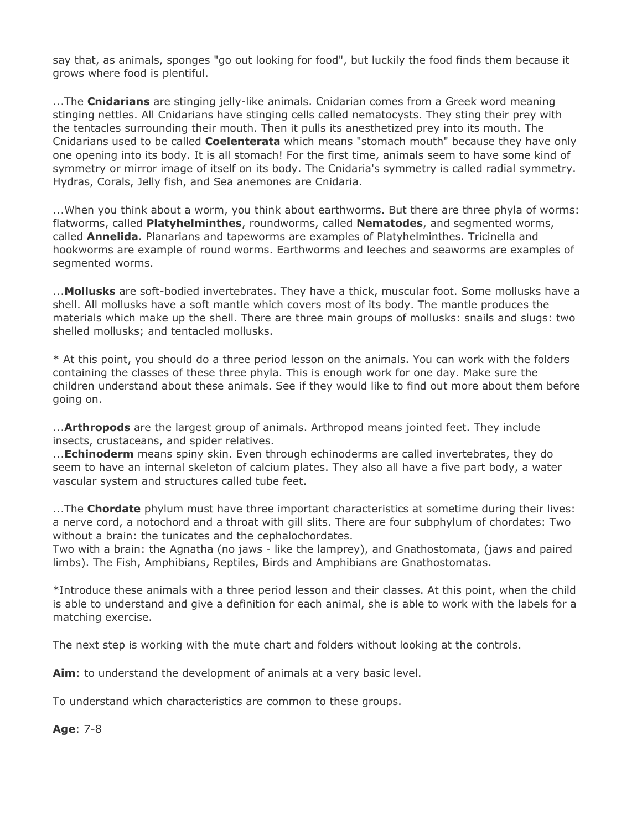say that, as animals, sponges "go out looking for food", but luckily the food finds them because it grows where food is plentiful.

...The **Cnidarians** are stinging jelly-like animals. Cnidarian comes from a Greek word meaning stinging nettles. All Cnidarians have stinging cells called nematocysts. They sting their prey with the tentacles surrounding their mouth. Then it pulls its anesthetized prey into its mouth. The Cnidarians used to be called **Coelenterata** which means "stomach mouth" because they have only one opening into its body. It is all stomach! For the first time, animals seem to have some kind of symmetry or mirror image of itself on its body. The Cnidaria's symmetry is called radial symmetry. Hydras, Corals, Jelly fish, and Sea anemones are Cnidaria.

...When you think about a worm, you think about earthworms. But there are three phyla of worms: flatworms, called **Platyhelminthes**, roundworms, called **Nematodes**, and segmented worms, called **Annelida**. Planarians and tapeworms are examples of Platyhelminthes. Tricinella and hookworms are example of round worms. Earthworms and leeches and seaworms are examples of segmented worms.

...**Mollusks** are soft-bodied invertebrates. They have a thick, muscular foot. Some mollusks have a shell. All mollusks have a soft mantle which covers most of its body. The mantle produces the materials which make up the shell. There are three main groups of mollusks: snails and slugs: two shelled mollusks; and tentacled mollusks.

\* At this point, you should do a three period lesson on the animals. You can work with the folders containing the classes of these three phyla. This is enough work for one day. Make sure the children understand about these animals. See if they would like to find out more about them before going on.

...**Arthropods** are the largest group of animals. Arthropod means jointed feet. They include insects, crustaceans, and spider relatives.

...**Echinoderm** means spiny skin. Even through echinoderms are called invertebrates, they do seem to have an internal skeleton of calcium plates. They also all have a five part body, a water vascular system and structures called tube feet.

...The **Chordate** phylum must have three important characteristics at sometime during their lives: a nerve cord, a notochord and a throat with gill slits. There are four subphylum of chordates: Two without a brain: the tunicates and the cephalochordates.

Two with a brain: the Agnatha (no jaws - like the lamprey), and Gnathostomata, (jaws and paired limbs). The Fish, Amphibians, Reptiles, Birds and Amphibians are Gnathostomatas.

\*Introduce these animals with a three period lesson and their classes. At this point, when the child is able to understand and give a definition for each animal, she is able to work with the labels for a matching exercise.

The next step is working with the mute chart and folders without looking at the controls.

**Aim**: to understand the development of animals at a very basic level.

To understand which characteristics are common to these groups.

**Age**: 7-8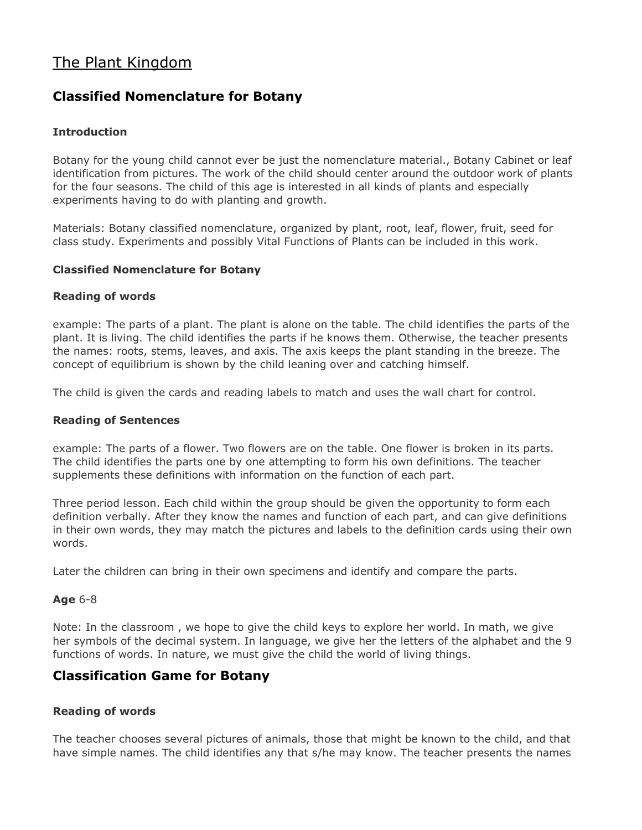# The Plant Kingdom

# **Classified Nomenclature for Botany**

# **Introduction**

Botany for the young child cannot ever be just the nomenclature material., Botany Cabinet or leaf identification from pictures. The work of the child should center around the outdoor work of plants for the four seasons. The child of this age is interested in all kinds of plants and especially experiments having to do with planting and growth.

Materials: Botany classified nomenclature, organized by plant, root, leaf, flower, fruit, seed for class study. Experiments and possibly Vital Functions of Plants can be included in this work.

### **Classified Nomenclature for Botany**

### **Reading of words**

example: The parts of a plant. The plant is alone on the table. The child identifies the parts of the plant. It is living. The child identifies the parts if he knows them. Otherwise, the teacher presents the names: roots, stems, leaves, and axis. The axis keeps the plant standing in the breeze. The concept of equilibrium is shown by the child leaning over and catching himself.

The child is given the cards and reading labels to match and uses the wall chart for control.

#### **Reading of Sentences**

example: The parts of a flower. Two flowers are on the table. One flower is broken in its parts. The child identifies the parts one by one attempting to form his own definitions. The teacher supplements these definitions with information on the function of each part.

Three period lesson. Each child within the group should be given the opportunity to form each definition verbally. After they know the names and function of each part, and can give definitions in their own words, they may match the pictures and labels to the definition cards using their own words.

Later the children can bring in their own specimens and identify and compare the parts.

# **Age** 6-8

Note: In the classroom , we hope to give the child keys to explore her world. In math, we give her symbols of the decimal system. In language, we give her the letters of the alphabet and the 9 functions of words. In nature, we must give the child the world of living things.

# **Classification Game for Botany**

# **Reading of words**

The teacher chooses several pictures of animals, those that might be known to the child, and that have simple names. The child identifies any that s/he may know. The teacher presents the names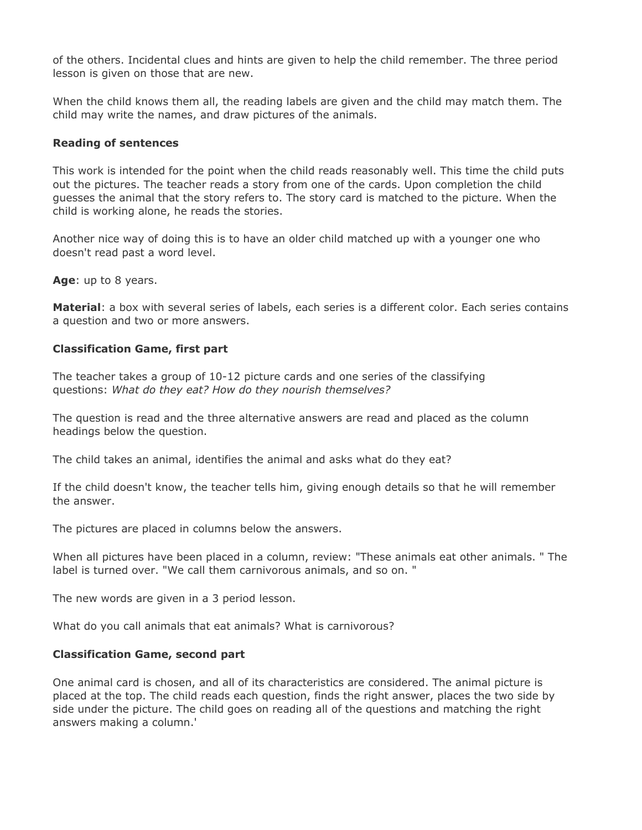of the others. Incidental clues and hints are given to help the child remember. The three period lesson is given on those that are new.

When the child knows them all, the reading labels are given and the child may match them. The child may write the names, and draw pictures of the animals.

#### **Reading of sentences**

This work is intended for the point when the child reads reasonably well. This time the child puts out the pictures. The teacher reads a story from one of the cards. Upon completion the child guesses the animal that the story refers to. The story card is matched to the picture. When the child is working alone, he reads the stories.

Another nice way of doing this is to have an older child matched up with a younger one who doesn't read past a word level.

**Age**: up to 8 years.

**Material**: a box with several series of labels, each series is a different color. Each series contains a question and two or more answers.

#### **Classification Game, first part**

The teacher takes a group of 10-12 picture cards and one series of the classifying questions: *What do they eat? How do they nourish themselves?*

The question is read and the three alternative answers are read and placed as the column headings below the question.

The child takes an animal, identifies the animal and asks what do they eat?

If the child doesn't know, the teacher tells him, giving enough details so that he will remember the answer.

The pictures are placed in columns below the answers.

When all pictures have been placed in a column, review: "These animals eat other animals. " The label is turned over. "We call them carnivorous animals, and so on. "

The new words are given in a 3 period lesson.

What do you call animals that eat animals? What is carnivorous?

#### **Classification Game, second part**

One animal card is chosen, and all of its characteristics are considered. The animal picture is placed at the top. The child reads each question, finds the right answer, places the two side by side under the picture. The child goes on reading all of the questions and matching the right answers making a column.'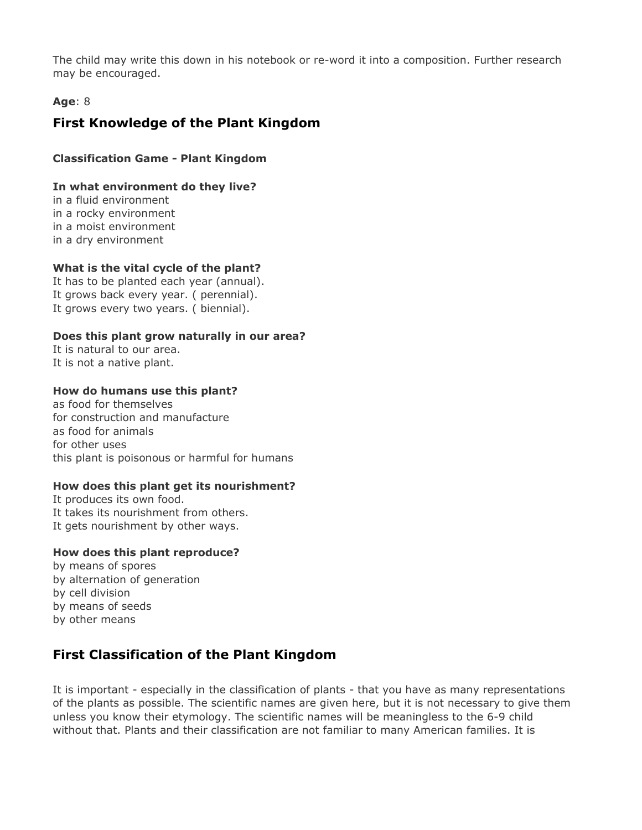The child may write this down in his notebook or re-word it into a composition. Further research may be encouraged.

# **Age**: 8

# **First Knowledge of the Plant Kingdom**

# **Classification Game - Plant Kingdom**

### **In what environment do they live?**

in a fluid environment in a rocky environment in a moist environment in a dry environment

### **What is the vital cycle of the plant?**

It has to be planted each year (annual). It grows back every year. ( perennial). It grows every two years. ( biennial).

### **Does this plant grow naturally in our area?**

It is natural to our area. It is not a native plant.

#### **How do humans use this plant?**

as food for themselves for construction and manufacture as food for animals for other uses this plant is poisonous or harmful for humans

# **How does this plant get its nourishment?**

It produces its own food. It takes its nourishment from others. It gets nourishment by other ways.

#### **How does this plant reproduce?**

by means of spores by alternation of generation by cell division by means of seeds by other means

# **First Classification of the Plant Kingdom**

It is important - especially in the classification of plants - that you have as many representations of the plants as possible. The scientific names are given here, but it is not necessary to give them unless you know their etymology. The scientific names will be meaningless to the 6-9 child without that. Plants and their classification are not familiar to many American families. It is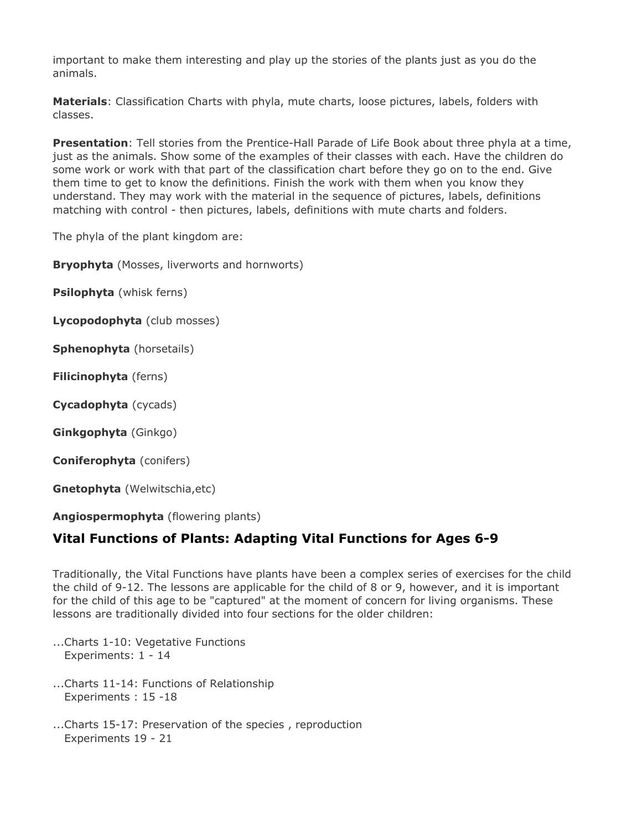important to make them interesting and play up the stories of the plants just as you do the animals.

**Materials**: Classification Charts with phyla, mute charts, loose pictures, labels, folders with classes.

**Presentation**: Tell stories from the Prentice-Hall Parade of Life Book about three phyla at a time, just as the animals. Show some of the examples of their classes with each. Have the children do some work or work with that part of the classification chart before they go on to the end. Give them time to get to know the definitions. Finish the work with them when you know they understand. They may work with the material in the sequence of pictures, labels, definitions matching with control - then pictures, labels, definitions with mute charts and folders.

The phyla of the plant kingdom are:

**Bryophyta** (Mosses, liverworts and hornworts)

**Psilophyta** (whisk ferns)

**Lycopodophyta** (club mosses)

**Sphenophyta** (horsetails)

**Filicinophyta** (ferns)

**Cycadophyta** (cycads)

**Ginkgophyta** (Ginkgo)

**Coniferophyta** (conifers)

**Gnetophyta** (Welwitschia,etc)

**Angiospermophyta** (flowering plants)

# **Vital Functions of Plants: Adapting Vital Functions for Ages 6-9**

Traditionally, the Vital Functions have plants have been a complex series of exercises for the child the child of 9-12. The lessons are applicable for the child of 8 or 9, however, and it is important for the child of this age to be "captured" at the moment of concern for living organisms. These lessons are traditionally divided into four sections for the older children:

- ...Charts 1-10: Vegetative Functions Experiments: 1 - 14
- ...Charts 11-14: Functions of Relationship Experiments : 15 -18
- ...Charts 15-17: Preservation of the species , reproduction Experiments 19 - 21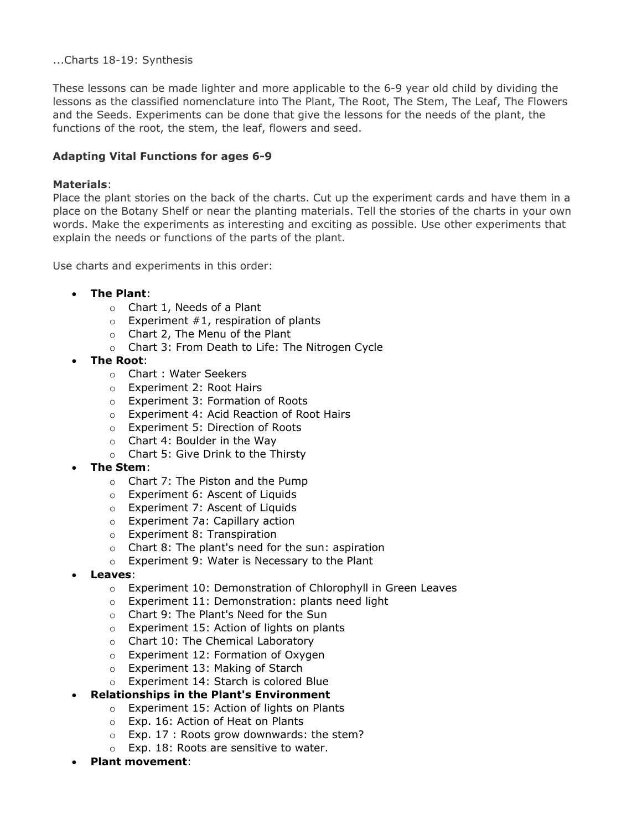#### ...Charts 18-19: Synthesis

These lessons can be made lighter and more applicable to the 6-9 year old child by dividing the lessons as the classified nomenclature into The Plant, The Root, The Stem, The Leaf, The Flowers and the Seeds. Experiments can be done that give the lessons for the needs of the plant, the functions of the root, the stem, the leaf, flowers and seed.

# **Adapting Vital Functions for ages 6-9**

#### **Materials**:

Place the plant stories on the back of the charts. Cut up the experiment cards and have them in a place on the Botany Shelf or near the planting materials. Tell the stories of the charts in your own words. Make the experiments as interesting and exciting as possible. Use other experiments that explain the needs or functions of the parts of the plant.

Use charts and experiments in this order:

- **The Plant**:
	- o Chart 1, Needs of a Plant
	- $\circ$  Experiment #1, respiration of plants
	- o Chart 2, The Menu of the Plant
	- o Chart 3: From Death to Life: The Nitrogen Cycle
- **The Root**:
	- o Chart : Water Seekers
	- o Experiment 2: Root Hairs
	- o Experiment 3: Formation of Roots
	- o Experiment 4: Acid Reaction of Root Hairs
	- o Experiment 5: Direction of Roots
	- $\circ$  Chart 4: Boulder in the Way
	- o Chart 5: Give Drink to the Thirsty
- **The Stem**:
	- o Chart 7: The Piston and the Pump
	- o Experiment 6: Ascent of Liquids
	- o Experiment 7: Ascent of Liquids
	- o Experiment 7a: Capillary action
	- o Experiment 8: Transpiration
	- o Chart 8: The plant's need for the sun: aspiration
	- o Experiment 9: Water is Necessary to the Plant
- **Leaves**:
	- o Experiment 10: Demonstration of Chlorophyll in Green Leaves
	- o Experiment 11: Demonstration: plants need light
	- o Chart 9: The Plant's Need for the Sun
	- o Experiment 15: Action of lights on plants
	- o Chart 10: The Chemical Laboratory
	- o Experiment 12: Formation of Oxygen
	- o Experiment 13: Making of Starch
	- o Experiment 14: Starch is colored Blue
- **Relationships in the Plant's Environment**
	- o Experiment 15: Action of lights on Plants
	- o Exp. 16: Action of Heat on Plants
	- o Exp. 17 : Roots grow downwards: the stem?
	- o Exp. 18: Roots are sensitive to water.
- **Plant movement**: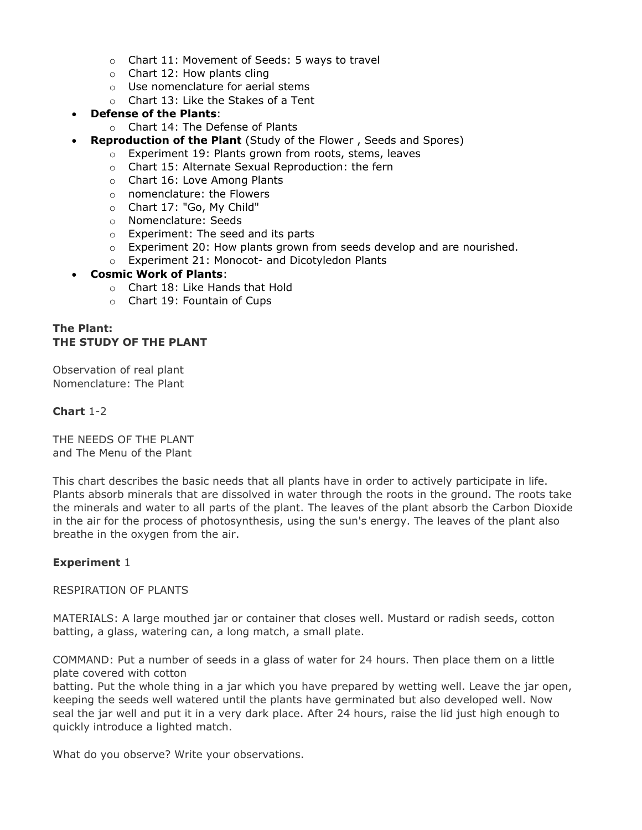- o Chart 11: Movement of Seeds: 5 ways to travel
- o Chart 12: How plants cling
- o Use nomenclature for aerial stems
- o Chart 13: Like the Stakes of a Tent
- **Defense of the Plants**:
	- o Chart 14: The Defense of Plants
- **Reproduction of the Plant** (Study of the Flower , Seeds and Spores)
	- o Experiment 19: Plants grown from roots, stems, leaves
	- o Chart 15: Alternate Sexual Reproduction: the fern
	- o Chart 16: Love Among Plants
	- o nomenclature: the Flowers
	- o Chart 17: "Go, My Child"
	- o Nomenclature: Seeds
	- o Experiment: The seed and its parts
	- $\circ$  Experiment 20: How plants grown from seeds develop and are nourished.
	- o Experiment 21: Monocot- and Dicotyledon Plants

#### • **Cosmic Work of Plants**:

- o Chart 18: Like Hands that Hold
- o Chart 19: Fountain of Cups

# **The Plant: THE STUDY OF THE PLANT**

Observation of real plant Nomenclature: The Plant

### **Chart** 1-2

THE NEEDS OF THE PLANT and The Menu of the Plant

This chart describes the basic needs that all plants have in order to actively participate in life. Plants absorb minerals that are dissolved in water through the roots in the ground. The roots take the minerals and water to all parts of the plant. The leaves of the plant absorb the Carbon Dioxide in the air for the process of photosynthesis, using the sun's energy. The leaves of the plant also breathe in the oxygen from the air.

# **Experiment** 1

RESPIRATION OF PLANTS

MATERIALS: A large mouthed jar or container that closes well. Mustard or radish seeds, cotton batting, a glass, watering can, a long match, a small plate.

COMMAND: Put a number of seeds in a glass of water for 24 hours. Then place them on a little plate covered with cotton

batting. Put the whole thing in a jar which you have prepared by wetting well. Leave the jar open, keeping the seeds well watered until the plants have germinated but also developed well. Now seal the jar well and put it in a very dark place. After 24 hours, raise the lid just high enough to quickly introduce a lighted match.

What do you observe? Write your observations.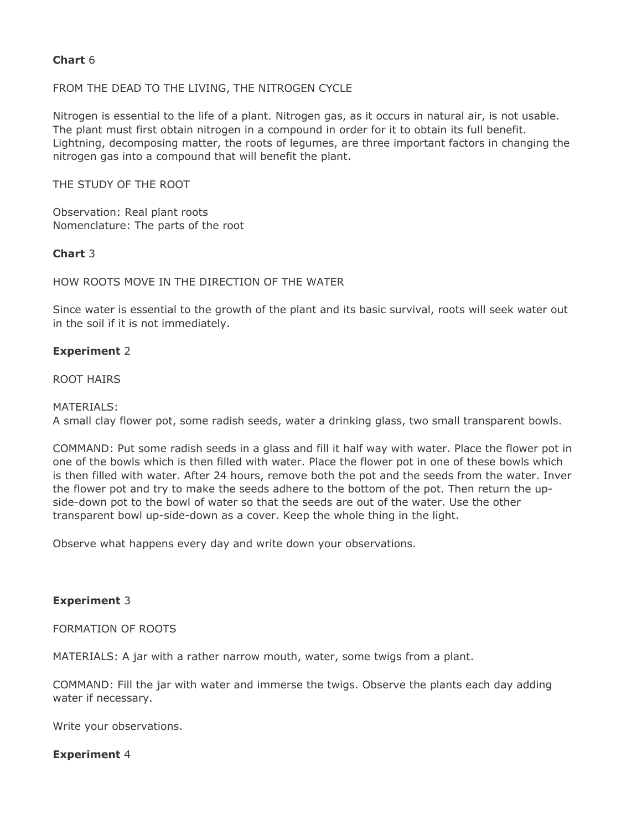### **Chart** 6

#### FROM THE DEAD TO THE LIVING, THE NITROGEN CYCLE

Nitrogen is essential to the life of a plant. Nitrogen gas, as it occurs in natural air, is not usable. The plant must first obtain nitrogen in a compound in order for it to obtain its full benefit. Lightning, decomposing matter, the roots of legumes, are three important factors in changing the nitrogen gas into a compound that will benefit the plant.

THE STUDY OF THE ROOT

Observation: Real plant roots Nomenclature: The parts of the root

### **Chart** 3

### HOW ROOTS MOVE IN THE DIRECTION OF THE WATER

Since water is essential to the growth of the plant and its basic survival, roots will seek water out in the soil if it is not immediately.

### **Experiment** 2

ROOT HAIRS

#### MATERIALS:

A small clay flower pot, some radish seeds, water a drinking glass, two small transparent bowls.

COMMAND: Put some radish seeds in a glass and fill it half way with water. Place the flower pot in one of the bowls which is then filled with water. Place the flower pot in one of these bowls which is then filled with water. After 24 hours, remove both the pot and the seeds from the water. Inver the flower pot and try to make the seeds adhere to the bottom of the pot. Then return the upside-down pot to the bowl of water so that the seeds are out of the water. Use the other transparent bowl up-side-down as a cover. Keep the whole thing in the light.

Observe what happens every day and write down your observations.

#### **Experiment** 3

FORMATION OF ROOTS

MATERIALS: A jar with a rather narrow mouth, water, some twigs from a plant.

COMMAND: Fill the jar with water and immerse the twigs. Observe the plants each day adding water if necessary.

Write your observations.

#### **Experiment** 4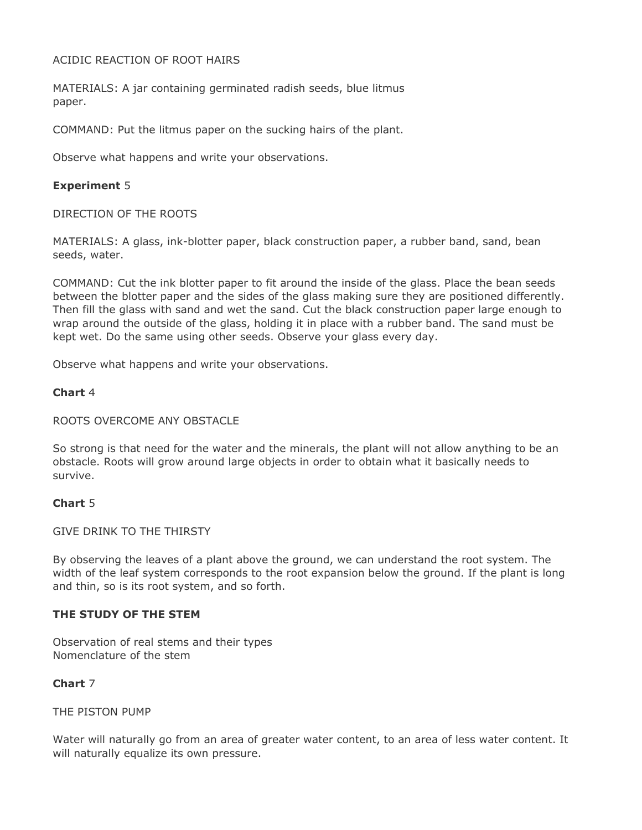#### ACIDIC REACTION OF ROOT HAIRS

MATERIALS: A jar containing germinated radish seeds, blue litmus paper.

COMMAND: Put the litmus paper on the sucking hairs of the plant.

Observe what happens and write your observations.

### **Experiment** 5

#### DIRECTION OF THE ROOTS

MATERIALS: A glass, ink-blotter paper, black construction paper, a rubber band, sand, bean seeds, water.

COMMAND: Cut the ink blotter paper to fit around the inside of the glass. Place the bean seeds between the blotter paper and the sides of the glass making sure they are positioned differently. Then fill the glass with sand and wet the sand. Cut the black construction paper large enough to wrap around the outside of the glass, holding it in place with a rubber band. The sand must be kept wet. Do the same using other seeds. Observe your glass every day.

Observe what happens and write your observations.

### **Chart** 4

#### ROOTS OVERCOME ANY OBSTACLE

So strong is that need for the water and the minerals, the plant will not allow anything to be an obstacle. Roots will grow around large objects in order to obtain what it basically needs to survive.

#### **Chart** 5

#### GIVE DRINK TO THE THIRSTY

By observing the leaves of a plant above the ground, we can understand the root system. The width of the leaf system corresponds to the root expansion below the ground. If the plant is long and thin, so is its root system, and so forth.

#### **THE STUDY OF THE STEM**

Observation of real stems and their types Nomenclature of the stem

#### **Chart** 7

#### THE PISTON PUMP

Water will naturally go from an area of greater water content, to an area of less water content. It will naturally equalize its own pressure.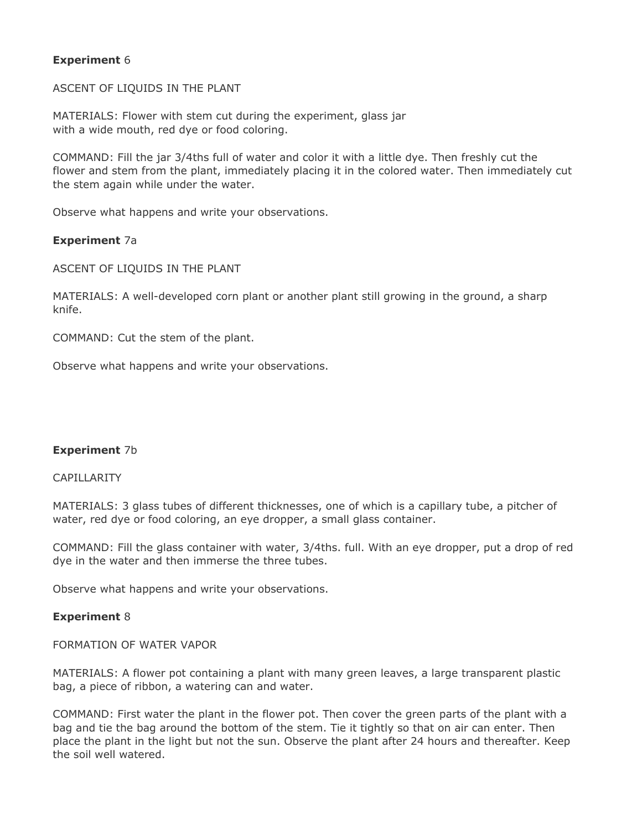### **Experiment** 6

ASCENT OF LIQUIDS IN THE PLANT

MATERIALS: Flower with stem cut during the experiment, glass jar with a wide mouth, red dye or food coloring.

COMMAND: Fill the jar 3/4ths full of water and color it with a little dye. Then freshly cut the flower and stem from the plant, immediately placing it in the colored water. Then immediately cut the stem again while under the water.

Observe what happens and write your observations.

#### **Experiment** 7a

ASCENT OF LIQUIDS IN THE PLANT

MATERIALS: A well-developed corn plant or another plant still growing in the ground, a sharp knife.

COMMAND: Cut the stem of the plant.

Observe what happens and write your observations.

#### **Experiment** 7b

#### CAPILLARITY

MATERIALS: 3 glass tubes of different thicknesses, one of which is a capillary tube, a pitcher of water, red dye or food coloring, an eye dropper, a small glass container.

COMMAND: Fill the glass container with water, 3/4ths. full. With an eye dropper, put a drop of red dye in the water and then immerse the three tubes.

Observe what happens and write your observations.

#### **Experiment** 8

FORMATION OF WATER VAPOR

MATERIALS: A flower pot containing a plant with many green leaves, a large transparent plastic bag, a piece of ribbon, a watering can and water.

COMMAND: First water the plant in the flower pot. Then cover the green parts of the plant with a bag and tie the bag around the bottom of the stem. Tie it tightly so that on air can enter. Then place the plant in the light but not the sun. Observe the plant after 24 hours and thereafter. Keep the soil well watered.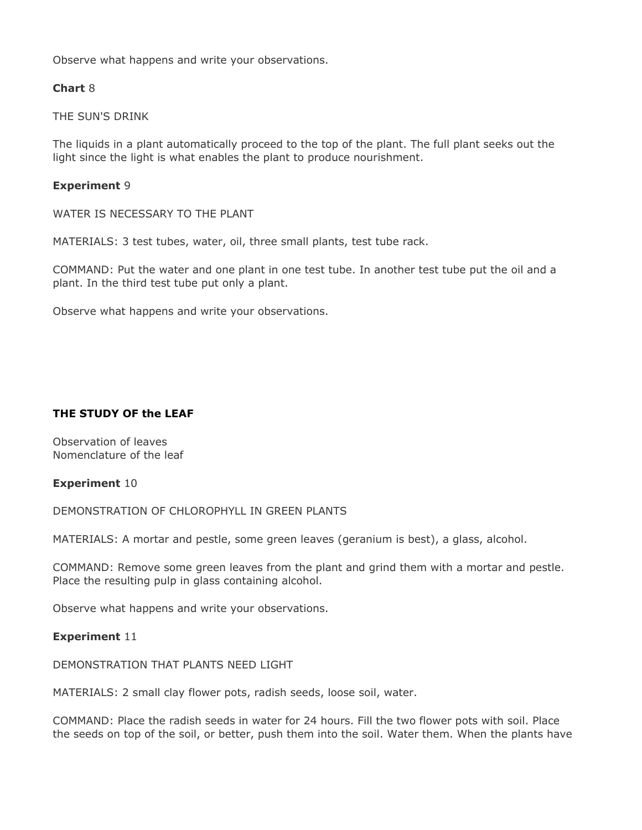Observe what happens and write your observations.

#### **Chart** 8

THE SUN'S DRINK

The liquids in a plant automatically proceed to the top of the plant. The full plant seeks out the light since the light is what enables the plant to produce nourishment.

#### **Experiment** 9

WATER IS NECESSARY TO THE PLANT

MATERIALS: 3 test tubes, water, oil, three small plants, test tube rack.

COMMAND: Put the water and one plant in one test tube. In another test tube put the oil and a plant. In the third test tube put only a plant.

Observe what happens and write your observations.

### **THE STUDY OF the LEAF**

Observation of leaves Nomenclature of the leaf

#### **Experiment** 10

DEMONSTRATION OF CHLOROPHYLL IN GREEN PLANTS

MATERIALS: A mortar and pestle, some green leaves (geranium is best), a glass, alcohol.

COMMAND: Remove some green leaves from the plant and grind them with a mortar and pestle. Place the resulting pulp in glass containing alcohol.

Observe what happens and write your observations.

#### **Experiment** 11

DEMONSTRATION THAT PLANTS NEED LIGHT

MATERIALS: 2 small clay flower pots, radish seeds, loose soil, water.

COMMAND: Place the radish seeds in water for 24 hours. Fill the two flower pots with soil. Place the seeds on top of the soil, or better, push them into the soil. Water them. When the plants have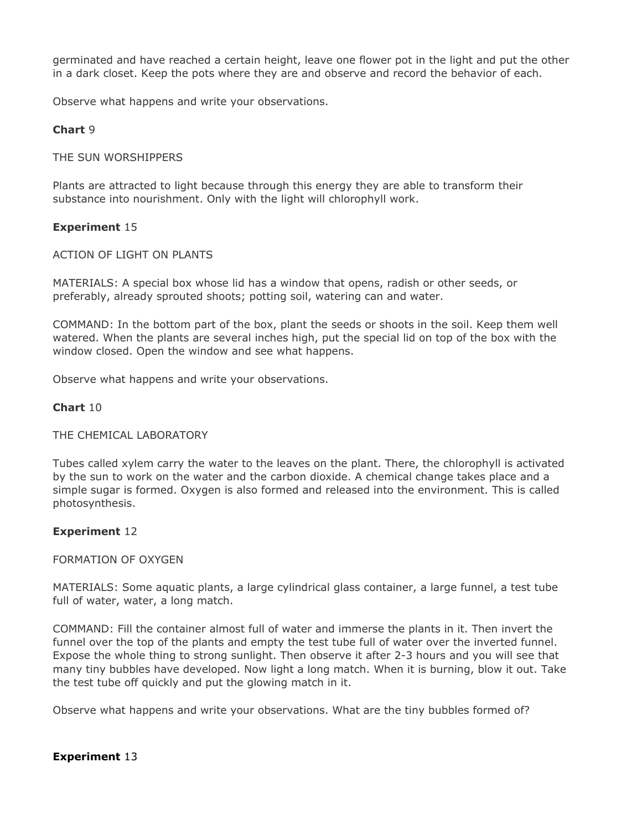germinated and have reached a certain height, leave one flower pot in the light and put the other in a dark closet. Keep the pots where they are and observe and record the behavior of each.

Observe what happens and write your observations.

### **Chart** 9

#### THE SUN WORSHIPPERS

Plants are attracted to light because through this energy they are able to transform their substance into nourishment. Only with the light will chlorophyll work.

### **Experiment** 15

#### ACTION OF LIGHT ON PLANTS

MATERIALS: A special box whose lid has a window that opens, radish or other seeds, or preferably, already sprouted shoots; potting soil, watering can and water.

COMMAND: In the bottom part of the box, plant the seeds or shoots in the soil. Keep them well watered. When the plants are several inches high, put the special lid on top of the box with the window closed. Open the window and see what happens.

Observe what happens and write your observations.

### **Chart** 10

#### THE CHEMICAL LABORATORY

Tubes called xylem carry the water to the leaves on the plant. There, the chlorophyll is activated by the sun to work on the water and the carbon dioxide. A chemical change takes place and a simple sugar is formed. Oxygen is also formed and released into the environment. This is called photosynthesis.

#### **Experiment** 12

#### FORMATION OF OXYGEN

MATERIALS: Some aquatic plants, a large cylindrical glass container, a large funnel, a test tube full of water, water, a long match.

COMMAND: Fill the container almost full of water and immerse the plants in it. Then invert the funnel over the top of the plants and empty the test tube full of water over the inverted funnel. Expose the whole thing to strong sunlight. Then observe it after 2-3 hours and you will see that many tiny bubbles have developed. Now light a long match. When it is burning, blow it out. Take the test tube off quickly and put the glowing match in it.

Observe what happens and write your observations. What are the tiny bubbles formed of?

#### **Experiment** 13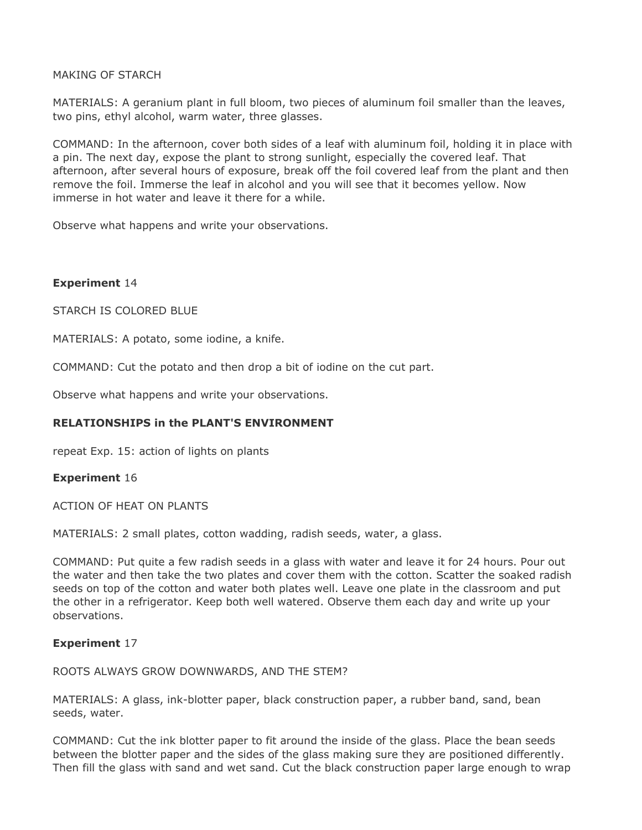MAKING OF STARCH

MATERIALS: A geranium plant in full bloom, two pieces of aluminum foil smaller than the leaves, two pins, ethyl alcohol, warm water, three glasses.

COMMAND: In the afternoon, cover both sides of a leaf with aluminum foil, holding it in place with a pin. The next day, expose the plant to strong sunlight, especially the covered leaf. That afternoon, after several hours of exposure, break off the foil covered leaf from the plant and then remove the foil. Immerse the leaf in alcohol and you will see that it becomes yellow. Now immerse in hot water and leave it there for a while.

Observe what happens and write your observations.

### **Experiment** 14

STARCH IS COLORED BLUE

MATERIALS: A potato, some iodine, a knife.

COMMAND: Cut the potato and then drop a bit of iodine on the cut part.

Observe what happens and write your observations.

# **RELATIONSHIPS in the PLANT'S ENVIRONMENT**

repeat Exp. 15: action of lights on plants

#### **Experiment** 16

ACTION OF HEAT ON PLANTS

MATERIALS: 2 small plates, cotton wadding, radish seeds, water, a glass.

COMMAND: Put quite a few radish seeds in a glass with water and leave it for 24 hours. Pour out the water and then take the two plates and cover them with the cotton. Scatter the soaked radish seeds on top of the cotton and water both plates well. Leave one plate in the classroom and put the other in a refrigerator. Keep both well watered. Observe them each day and write up your observations.

#### **Experiment** 17

ROOTS ALWAYS GROW DOWNWARDS, AND THE STEM?

MATERIALS: A glass, ink-blotter paper, black construction paper, a rubber band, sand, bean seeds, water.

COMMAND: Cut the ink blotter paper to fit around the inside of the glass. Place the bean seeds between the blotter paper and the sides of the glass making sure they are positioned differently. Then fill the glass with sand and wet sand. Cut the black construction paper large enough to wrap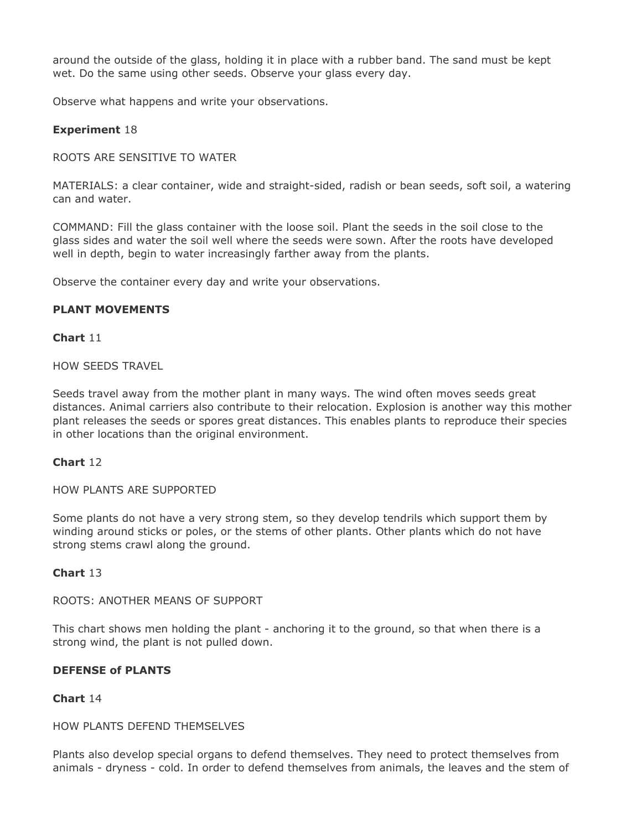around the outside of the glass, holding it in place with a rubber band. The sand must be kept wet. Do the same using other seeds. Observe your glass every day.

Observe what happens and write your observations.

### **Experiment** 18

ROOTS ARE SENSITIVE TO WATER

MATERIALS: a clear container, wide and straight-sided, radish or bean seeds, soft soil, a watering can and water.

COMMAND: Fill the glass container with the loose soil. Plant the seeds in the soil close to the glass sides and water the soil well where the seeds were sown. After the roots have developed well in depth, begin to water increasingly farther away from the plants.

Observe the container every day and write your observations.

### **PLANT MOVEMENTS**

#### **Chart** 11

HOW SEEDS TRAVEL

Seeds travel away from the mother plant in many ways. The wind often moves seeds great distances. Animal carriers also contribute to their relocation. Explosion is another way this mother plant releases the seeds or spores great distances. This enables plants to reproduce their species in other locations than the original environment.

#### **Chart** 12

HOW PLANTS ARE SUPPORTED

Some plants do not have a very strong stem, so they develop tendrils which support them by winding around sticks or poles, or the stems of other plants. Other plants which do not have strong stems crawl along the ground.

#### **Chart** 13

ROOTS: ANOTHER MEANS OF SUPPORT

This chart shows men holding the plant - anchoring it to the ground, so that when there is a strong wind, the plant is not pulled down.

#### **DEFENSE of PLANTS**

#### **Chart** 14

#### HOW PLANTS DEFEND THEMSELVES

Plants also develop special organs to defend themselves. They need to protect themselves from animals - dryness - cold. In order to defend themselves from animals, the leaves and the stem of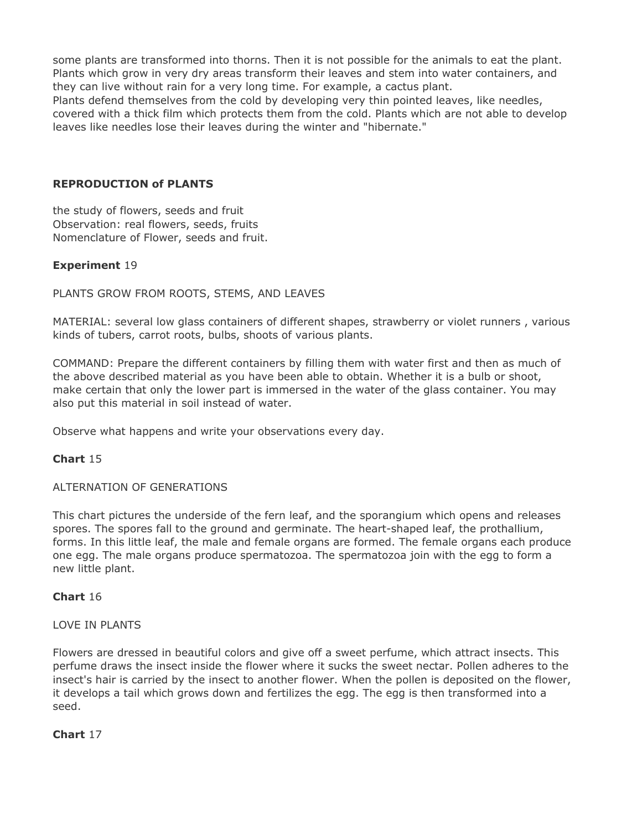some plants are transformed into thorns. Then it is not possible for the animals to eat the plant. Plants which grow in very dry areas transform their leaves and stem into water containers, and they can live without rain for a very long time. For example, a cactus plant.

Plants defend themselves from the cold by developing very thin pointed leaves, like needles, covered with a thick film which protects them from the cold. Plants which are not able to develop leaves like needles lose their leaves during the winter and "hibernate."

#### **REPRODUCTION of PLANTS**

the study of flowers, seeds and fruit Observation: real flowers, seeds, fruits Nomenclature of Flower, seeds and fruit.

### **Experiment** 19

PLANTS GROW FROM ROOTS, STEMS, AND LEAVES

MATERIAL: several low glass containers of different shapes, strawberry or violet runners , various kinds of tubers, carrot roots, bulbs, shoots of various plants.

COMMAND: Prepare the different containers by filling them with water first and then as much of the above described material as you have been able to obtain. Whether it is a bulb or shoot, make certain that only the lower part is immersed in the water of the glass container. You may also put this material in soil instead of water.

Observe what happens and write your observations every day.

#### **Chart** 15

#### ALTERNATION OF GENERATIONS

This chart pictures the underside of the fern leaf, and the sporangium which opens and releases spores. The spores fall to the ground and germinate. The heart-shaped leaf, the prothallium, forms. In this little leaf, the male and female organs are formed. The female organs each produce one egg. The male organs produce spermatozoa. The spermatozoa join with the egg to form a new little plant.

#### **Chart** 16

#### LOVE IN PLANTS

Flowers are dressed in beautiful colors and give off a sweet perfume, which attract insects. This perfume draws the insect inside the flower where it sucks the sweet nectar. Pollen adheres to the insect's hair is carried by the insect to another flower. When the pollen is deposited on the flower, it develops a tail which grows down and fertilizes the egg. The egg is then transformed into a seed.

### **Chart** 17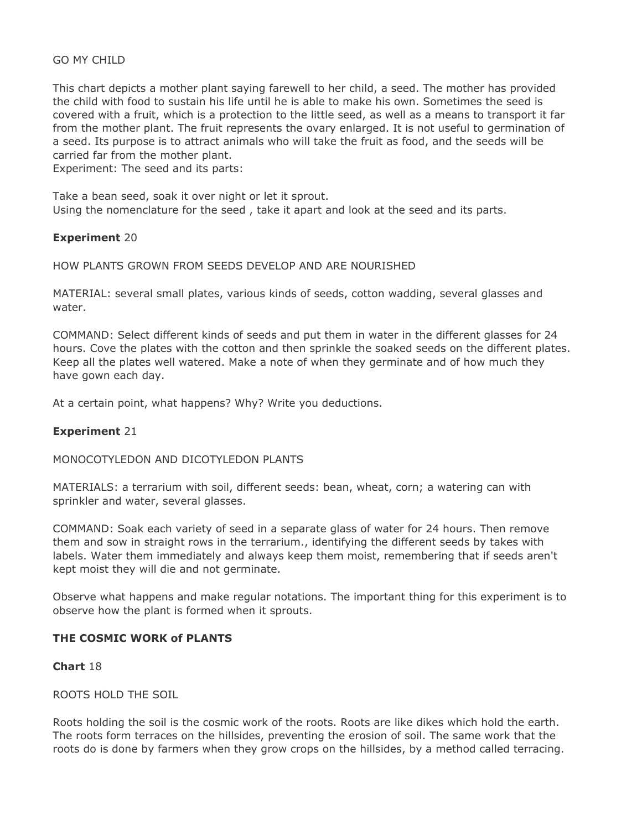#### GO MY CHILD

This chart depicts a mother plant saying farewell to her child, a seed. The mother has provided the child with food to sustain his life until he is able to make his own. Sometimes the seed is covered with a fruit, which is a protection to the little seed, as well as a means to transport it far from the mother plant. The fruit represents the ovary enlarged. It is not useful to germination of a seed. Its purpose is to attract animals who will take the fruit as food, and the seeds will be carried far from the mother plant.

Experiment: The seed and its parts:

Take a bean seed, soak it over night or let it sprout. Using the nomenclature for the seed , take it apart and look at the seed and its parts.

#### **Experiment** 20

#### HOW PLANTS GROWN FROM SEEDS DEVELOP AND ARE NOURISHED

MATERIAL: several small plates, various kinds of seeds, cotton wadding, several glasses and water.

COMMAND: Select different kinds of seeds and put them in water in the different glasses for 24 hours. Cove the plates with the cotton and then sprinkle the soaked seeds on the different plates. Keep all the plates well watered. Make a note of when they germinate and of how much they have gown each day.

At a certain point, what happens? Why? Write you deductions.

#### **Experiment** 21

#### MONOCOTYLEDON AND DICOTYLEDON PLANTS

MATERIALS: a terrarium with soil, different seeds: bean, wheat, corn; a watering can with sprinkler and water, several glasses.

COMMAND: Soak each variety of seed in a separate glass of water for 24 hours. Then remove them and sow in straight rows in the terrarium., identifying the different seeds by takes with labels. Water them immediately and always keep them moist, remembering that if seeds aren't kept moist they will die and not germinate.

Observe what happens and make regular notations. The important thing for this experiment is to observe how the plant is formed when it sprouts.

#### **THE COSMIC WORK of PLANTS**

#### **Chart** 18

#### ROOTS HOLD THE SOIL

Roots holding the soil is the cosmic work of the roots. Roots are like dikes which hold the earth. The roots form terraces on the hillsides, preventing the erosion of soil. The same work that the roots do is done by farmers when they grow crops on the hillsides, by a method called terracing.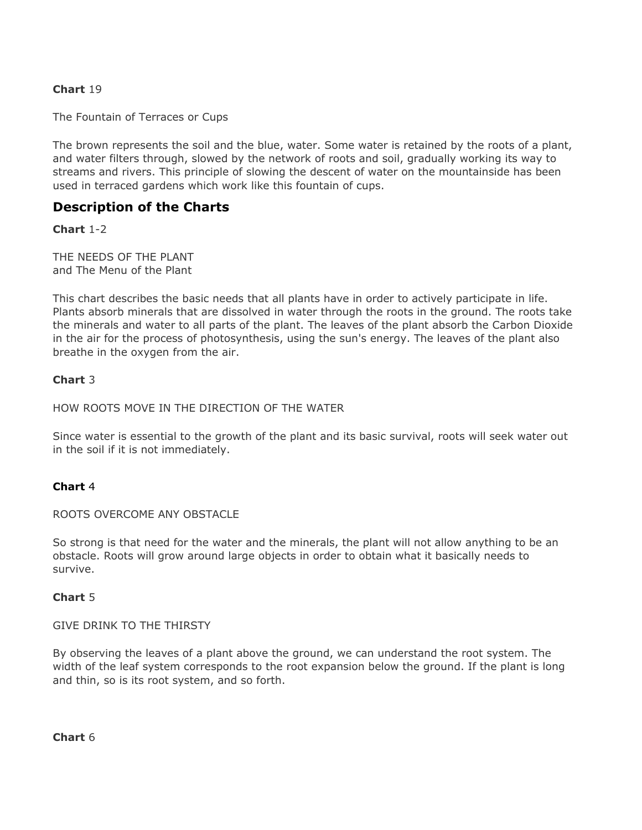# **Chart** 19

The Fountain of Terraces or Cups

The brown represents the soil and the blue, water. Some water is retained by the roots of a plant, and water filters through, slowed by the network of roots and soil, gradually working its way to streams and rivers. This principle of slowing the descent of water on the mountainside has been used in terraced gardens which work like this fountain of cups.

# **Description of the Charts**

**Chart** 1-2

THE NEEDS OF THE PLANT and The Menu of the Plant

This chart describes the basic needs that all plants have in order to actively participate in life. Plants absorb minerals that are dissolved in water through the roots in the ground. The roots take the minerals and water to all parts of the plant. The leaves of the plant absorb the Carbon Dioxide in the air for the process of photosynthesis, using the sun's energy. The leaves of the plant also breathe in the oxygen from the air.

#### **Chart** 3

HOW ROOTS MOVE IN THE DIRECTION OF THE WATER

Since water is essential to the growth of the plant and its basic survival, roots will seek water out in the soil if it is not immediately.

#### **Chart** 4

ROOTS OVERCOME ANY OBSTACLE

So strong is that need for the water and the minerals, the plant will not allow anything to be an obstacle. Roots will grow around large objects in order to obtain what it basically needs to survive.

#### **Chart** 5

GIVE DRINK TO THE THIRSTY

By observing the leaves of a plant above the ground, we can understand the root system. The width of the leaf system corresponds to the root expansion below the ground. If the plant is long and thin, so is its root system, and so forth.

**Chart** 6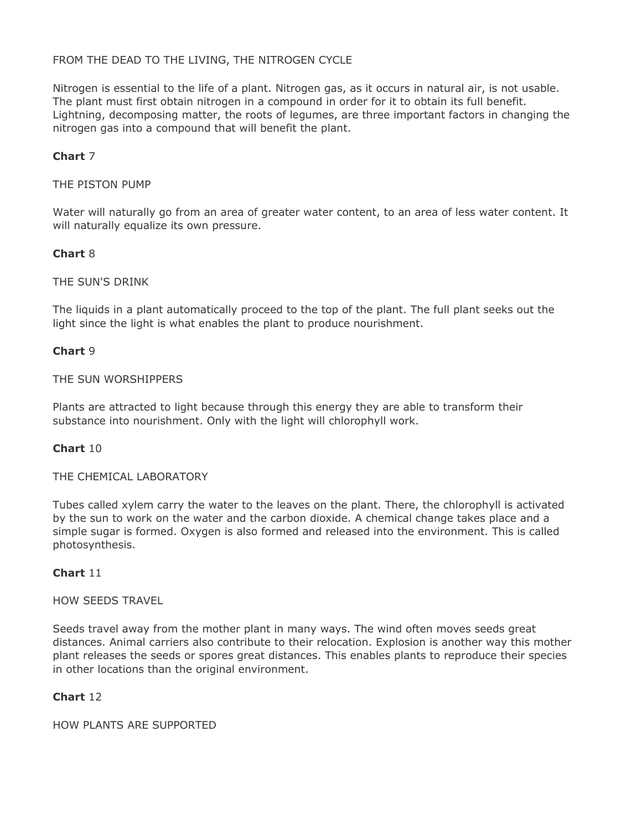### FROM THE DEAD TO THE LIVING, THE NITROGEN CYCLE

Nitrogen is essential to the life of a plant. Nitrogen gas, as it occurs in natural air, is not usable. The plant must first obtain nitrogen in a compound in order for it to obtain its full benefit. Lightning, decomposing matter, the roots of legumes, are three important factors in changing the nitrogen gas into a compound that will benefit the plant.

### **Chart** 7

#### THE PISTON PUMP

Water will naturally go from an area of greater water content, to an area of less water content. It will naturally equalize its own pressure.

# **Chart** 8

#### THE SUN'S DRINK

The liquids in a plant automatically proceed to the top of the plant. The full plant seeks out the light since the light is what enables the plant to produce nourishment.

#### **Chart** 9

#### THE SUN WORSHIPPERS

Plants are attracted to light because through this energy they are able to transform their substance into nourishment. Only with the light will chlorophyll work.

#### **Chart** 10

#### THE CHEMICAL LABORATORY

Tubes called xylem carry the water to the leaves on the plant. There, the chlorophyll is activated by the sun to work on the water and the carbon dioxide. A chemical change takes place and a simple sugar is formed. Oxygen is also formed and released into the environment. This is called photosynthesis.

#### **Chart** 11

#### HOW SEEDS TRAVEL

Seeds travel away from the mother plant in many ways. The wind often moves seeds great distances. Animal carriers also contribute to their relocation. Explosion is another way this mother plant releases the seeds or spores great distances. This enables plants to reproduce their species in other locations than the original environment.

### **Chart** 12

HOW PLANTS ARE SUPPORTED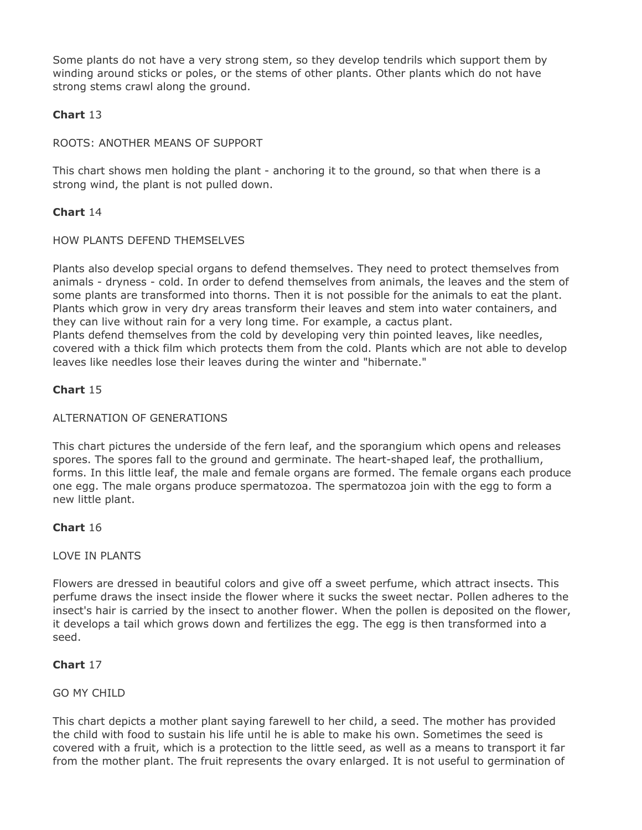Some plants do not have a very strong stem, so they develop tendrils which support them by winding around sticks or poles, or the stems of other plants. Other plants which do not have strong stems crawl along the ground.

# **Chart** 13

### ROOTS: ANOTHER MEANS OF SUPPORT

This chart shows men holding the plant - anchoring it to the ground, so that when there is a strong wind, the plant is not pulled down.

### **Chart** 14

#### HOW PLANTS DEFEND THEMSELVES

Plants also develop special organs to defend themselves. They need to protect themselves from animals - dryness - cold. In order to defend themselves from animals, the leaves and the stem of some plants are transformed into thorns. Then it is not possible for the animals to eat the plant. Plants which grow in very dry areas transform their leaves and stem into water containers, and they can live without rain for a very long time. For example, a cactus plant. Plants defend themselves from the cold by developing very thin pointed leaves, like needles, covered with a thick film which protects them from the cold. Plants which are not able to develop leaves like needles lose their leaves during the winter and "hibernate."

### **Chart** 15

#### ALTERNATION OF GENERATIONS

This chart pictures the underside of the fern leaf, and the sporangium which opens and releases spores. The spores fall to the ground and germinate. The heart-shaped leaf, the prothallium, forms. In this little leaf, the male and female organs are formed. The female organs each produce one egg. The male organs produce spermatozoa. The spermatozoa join with the egg to form a new little plant.

#### **Chart** 16

#### LOVE IN PLANTS

Flowers are dressed in beautiful colors and give off a sweet perfume, which attract insects. This perfume draws the insect inside the flower where it sucks the sweet nectar. Pollen adheres to the insect's hair is carried by the insect to another flower. When the pollen is deposited on the flower, it develops a tail which grows down and fertilizes the egg. The egg is then transformed into a seed.

# **Chart** 17

#### GO MY CHILD

This chart depicts a mother plant saying farewell to her child, a seed. The mother has provided the child with food to sustain his life until he is able to make his own. Sometimes the seed is covered with a fruit, which is a protection to the little seed, as well as a means to transport it far from the mother plant. The fruit represents the ovary enlarged. It is not useful to germination of